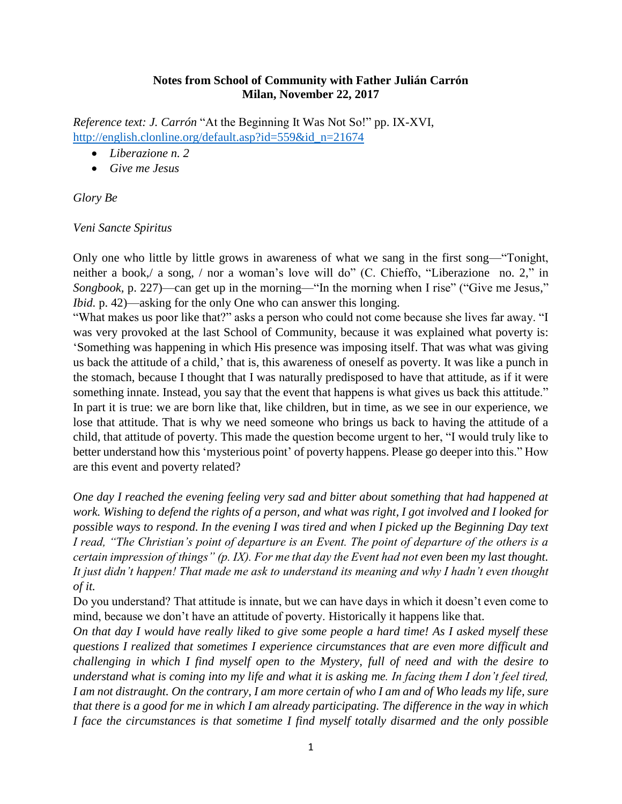### **Notes from School of Community with Father Julián Carrón Milan, November 22, 2017**

*Reference text: J. Carrón* "At the Beginning It Was Not So!" pp. IX-XVI, [http://english.clonline.org/default.asp?id=559&id\\_n=21674](http://english.clonline.org/default.asp?id=559&id_n=21674)

- *Liberazione n. 2*
- *Give me Jesus*

*Glory Be*

## *Veni Sancte Spiritus*

Only one who little by little grows in awareness of what we sang in the first song—"Tonight, neither a book,/ a song, / nor a woman's love will do" (C. Chieffo, "Liberazione no. 2," in *Songbook*, p. 227)—can get up in the morning—"In the morning when I rise" ("Give me Jesus," *Ibid.* p. 42)—asking for the only One who can answer this longing.

"What makes us poor like that?" asks a person who could not come because she lives far away. "I was very provoked at the last School of Community, because it was explained what poverty is: 'Something was happening in which His presence was imposing itself. That was what was giving us back the attitude of a child,' that is, this awareness of oneself as poverty. It was like a punch in the stomach, because I thought that I was naturally predisposed to have that attitude, as if it were something innate. Instead, you say that the event that happens is what gives us back this attitude." In part it is true: we are born like that, like children, but in time, as we see in our experience, we lose that attitude. That is why we need someone who brings us back to having the attitude of a child, that attitude of poverty. This made the question become urgent to her, "I would truly like to better understand how this 'mysterious point' of poverty happens. Please go deeper into this." How are this event and poverty related?

*One day I reached the evening feeling very sad and bitter about something that had happened at work. Wishing to defend the rights of a person, and what was right, I got involved and I looked for possible ways to respond. In the evening I was tired and when I picked up the Beginning Day text I read, "The Christian's point of departure is an Event. The point of departure of the others is a certain impression of things" (p. IX). For me that day the Event had not even been my last thought. It just didn't happen! That made me ask to understand its meaning and why I hadn't even thought of it.*

Do you understand? That attitude is innate, but we can have days in which it doesn't even come to mind, because we don't have an attitude of poverty. Historically it happens like that.

*On that day I would have really liked to give some people a hard time! As I asked myself these questions I realized that sometimes I experience circumstances that are even more difficult and challenging in which I find myself open to the Mystery, full of need and with the desire to understand what is coming into my life and what it is asking me. In facing them I don't feel tired, I am not distraught. On the contrary, I am more certain of who I am and of Who leads my life, sure that there is a good for me in which I am already participating. The difference in the way in which I face the circumstances is that sometime I find myself totally disarmed and the only possible*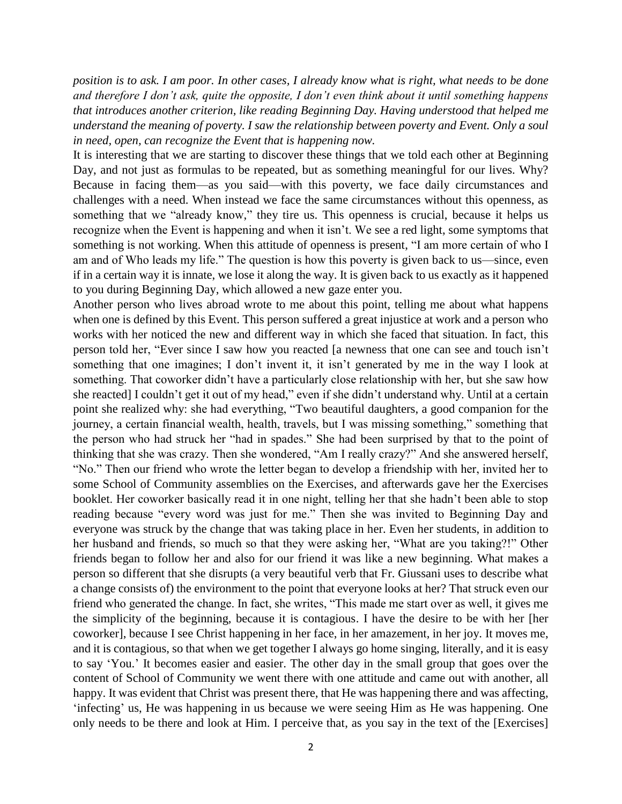*position is to ask. I am poor. In other cases, I already know what is right, what needs to be done and therefore I don't ask, quite the opposite, I don't even think about it until something happens that introduces another criterion, like reading Beginning Day. Having understood that helped me understand the meaning of poverty. I saw the relationship between poverty and Event. Only a soul in need, open, can recognize the Event that is happening now.*

It is interesting that we are starting to discover these things that we told each other at Beginning Day, and not just as formulas to be repeated, but as something meaningful for our lives. Why? Because in facing them—as you said—with this poverty, we face daily circumstances and challenges with a need. When instead we face the same circumstances without this openness, as something that we "already know," they tire us. This openness is crucial, because it helps us recognize when the Event is happening and when it isn't. We see a red light, some symptoms that something is not working. When this attitude of openness is present, "I am more certain of who I am and of Who leads my life." The question is how this poverty is given back to us—since, even if in a certain way it is innate, we lose it along the way. It is given back to us exactly as it happened to you during Beginning Day, which allowed a new gaze enter you.

Another person who lives abroad wrote to me about this point, telling me about what happens when one is defined by this Event. This person suffered a great injustice at work and a person who works with her noticed the new and different way in which she faced that situation. In fact, this person told her, "Ever since I saw how you reacted [a newness that one can see and touch isn't something that one imagines; I don't invent it, it isn't generated by me in the way I look at something. That coworker didn't have a particularly close relationship with her, but she saw how she reacted] I couldn't get it out of my head," even if she didn't understand why. Until at a certain point she realized why: she had everything, "Two beautiful daughters, a good companion for the journey, a certain financial wealth, health, travels, but I was missing something," something that the person who had struck her "had in spades." She had been surprised by that to the point of thinking that she was crazy. Then she wondered, "Am I really crazy?" And she answered herself, "No." Then our friend who wrote the letter began to develop a friendship with her, invited her to some School of Community assemblies on the Exercises, and afterwards gave her the Exercises booklet. Her coworker basically read it in one night, telling her that she hadn't been able to stop reading because "every word was just for me." Then she was invited to Beginning Day and everyone was struck by the change that was taking place in her. Even her students, in addition to her husband and friends, so much so that they were asking her, "What are you taking?!" Other friends began to follow her and also for our friend it was like a new beginning. What makes a person so different that she disrupts (a very beautiful verb that Fr. Giussani uses to describe what a change consists of) the environment to the point that everyone looks at her? That struck even our friend who generated the change. In fact, she writes, "This made me start over as well, it gives me the simplicity of the beginning, because it is contagious. I have the desire to be with her [her coworker], because I see Christ happening in her face, in her amazement, in her joy. It moves me, and it is contagious, so that when we get together I always go home singing, literally, and it is easy to say 'You.' It becomes easier and easier. The other day in the small group that goes over the content of School of Community we went there with one attitude and came out with another, all happy. It was evident that Christ was present there, that He was happening there and was affecting, 'infecting' us, He was happening in us because we were seeing Him as He was happening. One only needs to be there and look at Him. I perceive that, as you say in the text of the [Exercises]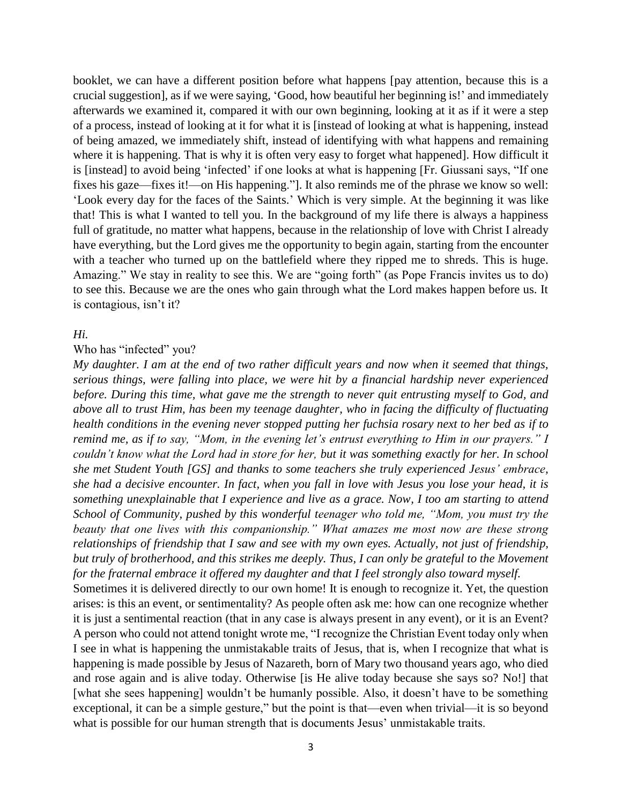booklet, we can have a different position before what happens [pay attention, because this is a crucial suggestion], as if we were saying, 'Good, how beautiful her beginning is!' and immediately afterwards we examined it, compared it with our own beginning, looking at it as if it were a step of a process, instead of looking at it for what it is [instead of looking at what is happening, instead of being amazed, we immediately shift, instead of identifying with what happens and remaining where it is happening. That is why it is often very easy to forget what happened]. How difficult it is [instead] to avoid being 'infected' if one looks at what is happening [Fr. Giussani says, "If one fixes his gaze—fixes it!—on His happening."]. It also reminds me of the phrase we know so well: 'Look every day for the faces of the Saints.' Which is very simple. At the beginning it was like that! This is what I wanted to tell you. In the background of my life there is always a happiness full of gratitude, no matter what happens, because in the relationship of love with Christ I already have everything, but the Lord gives me the opportunity to begin again, starting from the encounter with a teacher who turned up on the battlefield where they ripped me to shreds. This is huge. Amazing." We stay in reality to see this. We are "going forth" (as Pope Francis invites us to do) to see this. Because we are the ones who gain through what the Lord makes happen before us. It is contagious, isn't it?

### *Hi.*

### Who has "infected" you?

*My daughter. I am at the end of two rather difficult years and now when it seemed that things, serious things, were falling into place, we were hit by a financial hardship never experienced before. During this time, what gave me the strength to never quit entrusting myself to God, and above all to trust Him, has been my teenage daughter, who in facing the difficulty of fluctuating health conditions in the evening never stopped putting her fuchsia rosary next to her bed as if to remind me, as if to say, "Mom, in the evening let's entrust everything to Him in our prayers." I couldn't know what the Lord had in store for her, but it was something exactly for her. In school she met Student Youth [GS] and thanks to some teachers she truly experienced Jesus' embrace, she had a decisive encounter. In fact, when you fall in love with Jesus you lose your head, it is something unexplainable that I experience and live as a grace. Now, I too am starting to attend School of Community, pushed by this wonderful teenager who told me, "Mom, you must try the beauty that one lives with this companionship." What amazes me most now are these strong relationships of friendship that I saw and see with my own eyes. Actually, not just of friendship, but truly of brotherhood, and this strikes me deeply. Thus, I can only be grateful to the Movement for the fraternal embrace it offered my daughter and that I feel strongly also toward myself.*

Sometimes it is delivered directly to our own home! It is enough to recognize it. Yet, the question arises: is this an event, or sentimentality? As people often ask me: how can one recognize whether it is just a sentimental reaction (that in any case is always present in any event), or it is an Event? A person who could not attend tonight wrote me, "I recognize the Christian Event today only when I see in what is happening the unmistakable traits of Jesus, that is, when I recognize that what is happening is made possible by Jesus of Nazareth, born of Mary two thousand years ago, who died and rose again and is alive today. Otherwise [is He alive today because she says so? No!] that [what she sees happening] wouldn't be humanly possible. Also, it doesn't have to be something exceptional, it can be a simple gesture," but the point is that—even when trivial—it is so beyond what is possible for our human strength that is documents Jesus' unmistakable traits.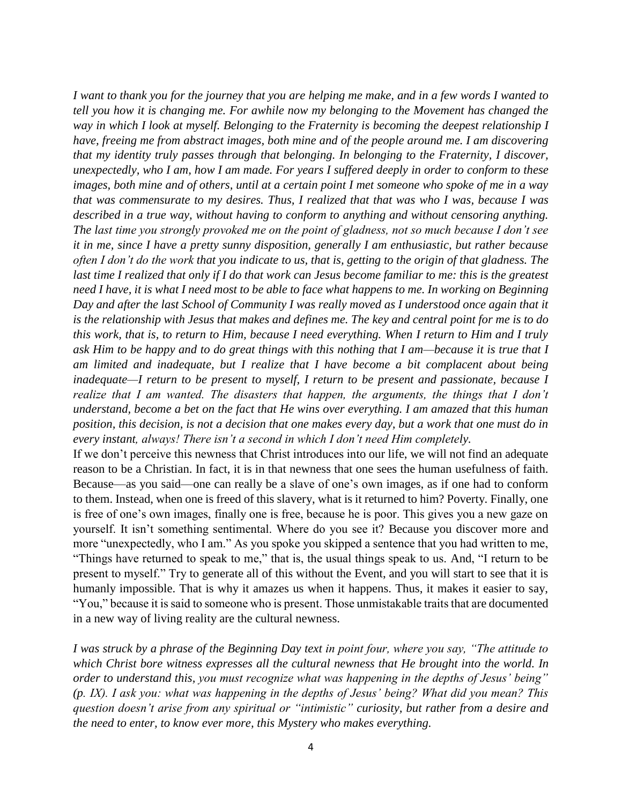*I want to thank you for the journey that you are helping me make, and in a few words I wanted to tell you how it is changing me. For awhile now my belonging to the Movement has changed the way in which I look at myself. Belonging to the Fraternity is becoming the deepest relationship I have, freeing me from abstract images, both mine and of the people around me. I am discovering that my identity truly passes through that belonging. In belonging to the Fraternity, I discover, unexpectedly, who I am, how I am made. For years I suffered deeply in order to conform to these images, both mine and of others, until at a certain point I met someone who spoke of me in a way that was commensurate to my desires. Thus, I realized that that was who I was, because I was described in a true way, without having to conform to anything and without censoring anything. The last time you strongly provoked me on the point of gladness, not so much because I don't see it in me, since I have a pretty sunny disposition, generally I am enthusiastic, but rather because often I don't do the work that you indicate to us, that is, getting to the origin of that gladness. The last time I realized that only if I do that work can Jesus become familiar to me: this is the greatest need I have, it is what I need most to be able to face what happens to me. In working on Beginning Day and after the last School of Community I was really moved as I understood once again that it is the relationship with Jesus that makes and defines me. The key and central point for me is to do this work, that is, to return to Him, because I need everything. When I return to Him and I truly ask Him to be happy and to do great things with this nothing that I am—because it is true that I am limited and inadequate, but I realize that I have become a bit complacent about being inadequate—I return to be present to myself, I return to be present and passionate, because I realize that I am wanted. The disasters that happen, the arguments, the things that I don't understand, become a bet on the fact that He wins over everything. I am amazed that this human position, this decision, is not a decision that one makes every day, but a work that one must do in every instant, always! There isn't a second in which I don't need Him completely.*

If we don't perceive this newness that Christ introduces into our life, we will not find an adequate reason to be a Christian. In fact, it is in that newness that one sees the human usefulness of faith. Because—as you said—one can really be a slave of one's own images, as if one had to conform to them. Instead, when one is freed of this slavery, what is it returned to him? Poverty. Finally, one is free of one's own images, finally one is free, because he is poor. This gives you a new gaze on yourself. It isn't something sentimental. Where do you see it? Because you discover more and more "unexpectedly, who I am." As you spoke you skipped a sentence that you had written to me, "Things have returned to speak to me," that is, the usual things speak to us. And, "I return to be present to myself." Try to generate all of this without the Event, and you will start to see that it is humanly impossible. That is why it amazes us when it happens. Thus, it makes it easier to say, "You," because it is said to someone who is present. Those unmistakable traits that are documented in a new way of living reality are the cultural newness.

*I was struck by a phrase of the Beginning Day text in point four, where you say, "The attitude to which Christ bore witness expresses all the cultural newness that He brought into the world. In order to understand this, you must recognize what was happening in the depths of Jesus' being" (p. IX). I ask you: what was happening in the depths of Jesus' being? What did you mean? This question doesn't arise from any spiritual or "intimistic" curiosity, but rather from a desire and the need to enter, to know ever more, this Mystery who makes everything.*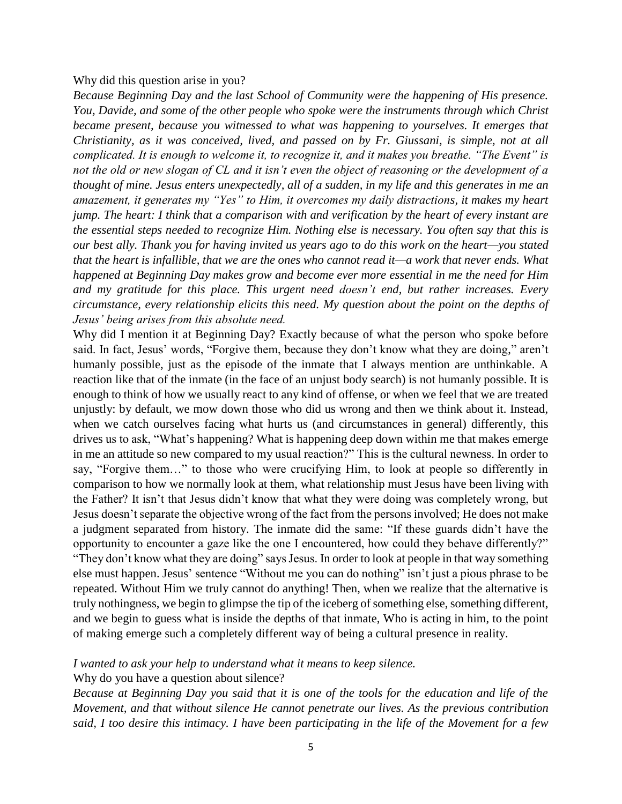#### Why did this question arise in you?

*Because Beginning Day and the last School of Community were the happening of His presence. You, Davide, and some of the other people who spoke were the instruments through which Christ became present, because you witnessed to what was happening to yourselves. It emerges that Christianity, as it was conceived, lived, and passed on by Fr. Giussani, is simple, not at all complicated. It is enough to welcome it, to recognize it, and it makes you breathe. "The Event" is not the old or new slogan of CL and it isn't even the object of reasoning or the development of a thought of mine. Jesus enters unexpectedly, all of a sudden, in my life and this generates in me an amazement, it generates my "Yes" to Him, it overcomes my daily distractions, it makes my heart jump. The heart: I think that a comparison with and verification by the heart of every instant are the essential steps needed to recognize Him. Nothing else is necessary. You often say that this is our best ally. Thank you for having invited us years ago to do this work on the heart—you stated that the heart is infallible, that we are the ones who cannot read it—a work that never ends. What happened at Beginning Day makes grow and become ever more essential in me the need for Him and my gratitude for this place. This urgent need doesn't end, but rather increases. Every circumstance, every relationship elicits this need. My question about the point on the depths of Jesus' being arises from this absolute need.*

Why did I mention it at Beginning Day? Exactly because of what the person who spoke before said. In fact, Jesus' words, "Forgive them, because they don't know what they are doing," aren't humanly possible, just as the episode of the inmate that I always mention are unthinkable. A reaction like that of the inmate (in the face of an unjust body search) is not humanly possible. It is enough to think of how we usually react to any kind of offense, or when we feel that we are treated unjustly: by default, we mow down those who did us wrong and then we think about it. Instead, when we catch ourselves facing what hurts us (and circumstances in general) differently, this drives us to ask, "What's happening? What is happening deep down within me that makes emerge in me an attitude so new compared to my usual reaction?" This is the cultural newness. In order to say, "Forgive them…" to those who were crucifying Him, to look at people so differently in comparison to how we normally look at them, what relationship must Jesus have been living with the Father? It isn't that Jesus didn't know that what they were doing was completely wrong, but Jesus doesn't separate the objective wrong of the fact from the persons involved; He does not make a judgment separated from history. The inmate did the same: "If these guards didn't have the opportunity to encounter a gaze like the one I encountered, how could they behave differently?" "They don't know what they are doing" says Jesus. In order to look at people in that way something else must happen. Jesus' sentence "Without me you can do nothing" isn't just a pious phrase to be repeated. Without Him we truly cannot do anything! Then, when we realize that the alternative is truly nothingness, we begin to glimpse the tip of the iceberg of something else, something different, and we begin to guess what is inside the depths of that inmate, Who is acting in him, to the point of making emerge such a completely different way of being a cultural presence in reality.

*I wanted to ask your help to understand what it means to keep silence.*

Why do you have a question about silence?

*Because at Beginning Day you said that it is one of the tools for the education and life of the Movement, and that without silence He cannot penetrate our lives. As the previous contribution said, I too desire this intimacy. I have been participating in the life of the Movement for a few*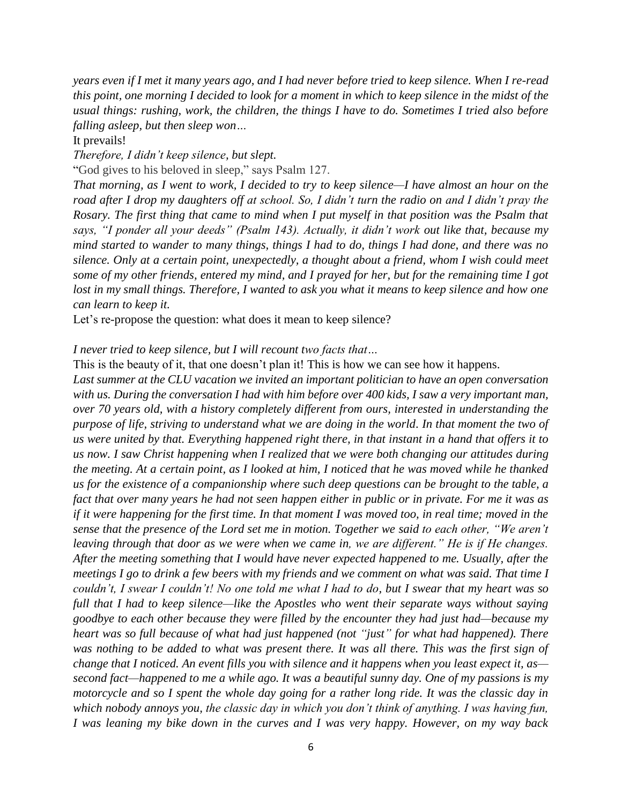*years even if I met it many years ago, and I had never before tried to keep silence. When I re-read this point, one morning I decided to look for a moment in which to keep silence in the midst of the usual things: rushing, work, the children, the things I have to do. Sometimes I tried also before falling asleep, but then sleep won…*

It prevails!

*Therefore, I didn't keep silence, but slept.*

"God gives to his beloved in sleep," says Psalm 127.

*That morning, as I went to work, I decided to try to keep silence—I have almost an hour on the road after I drop my daughters off at school. So, I didn't turn the radio on and I didn't pray the Rosary. The first thing that came to mind when I put myself in that position was the Psalm that says, "I ponder all your deeds" (Psalm 143). Actually, it didn't work out like that, because my mind started to wander to many things, things I had to do, things I had done, and there was no silence. Only at a certain point, unexpectedly, a thought about a friend, whom I wish could meet some of my other friends, entered my mind, and I prayed for her, but for the remaining time I got*  lost in my small things. Therefore, I wanted to ask you what it means to keep silence and how one *can learn to keep it.*

Let's re-propose the question: what does it mean to keep silence?

*I never tried to keep silence, but I will recount two facts that…*

This is the beauty of it, that one doesn't plan it! This is how we can see how it happens.

*Last summer at the CLU vacation we invited an important politician to have an open conversation with us. During the conversation I had with him before over 400 kids, I saw a very important man, over 70 years old, with a history completely different from ours, interested in understanding the purpose of life, striving to understand what we are doing in the world. In that moment the two of us were united by that. Everything happened right there, in that instant in a hand that offers it to us now. I saw Christ happening when I realized that we were both changing our attitudes during the meeting. At a certain point, as I looked at him, I noticed that he was moved while he thanked us for the existence of a companionship where such deep questions can be brought to the table, a fact that over many years he had not seen happen either in public or in private. For me it was as if it were happening for the first time. In that moment I was moved too, in real time; moved in the sense that the presence of the Lord set me in motion. Together we said to each other, "We aren't leaving through that door as we were when we came in, we are different." He is if He changes. After the meeting something that I would have never expected happened to me. Usually, after the meetings I go to drink a few beers with my friends and we comment on what was said. That time I couldn't, I swear I couldn't! No one told me what I had to do, but I swear that my heart was so full that I had to keep silence—like the Apostles who went their separate ways without saying goodbye to each other because they were filled by the encounter they had just had—because my heart was so full because of what had just happened (not "just" for what had happened). There was nothing to be added to what was present there. It was all there. This was the first sign of change that I noticed. An event fills you with silence and it happens when you least expect it, as second fact—happened to me a while ago. It was a beautiful sunny day. One of my passions is my motorcycle and so I spent the whole day going for a rather long ride. It was the classic day in which nobody annoys you, the classic day in which you don't think of anything. I was having fun, I was leaning my bike down in the curves and I was very happy. However, on my way back*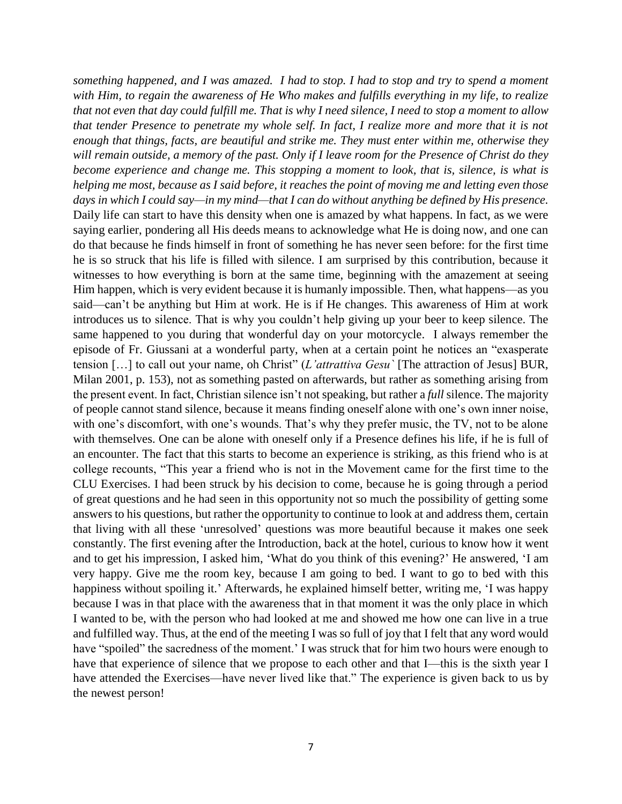*something happened, and I was amazed. I had to stop. I had to stop and try to spend a moment with Him, to regain the awareness of He Who makes and fulfills everything in my life, to realize that not even that day could fulfill me. That is why I need silence, I need to stop a moment to allow that tender Presence to penetrate my whole self. In fact, I realize more and more that it is not enough that things, facts, are beautiful and strike me. They must enter within me, otherwise they will remain outside, a memory of the past. Only if I leave room for the Presence of Christ do they become experience and change me. This stopping a moment to look, that is, silence, is what is helping me most, because as I said before, it reaches the point of moving me and letting even those days in which I could say—in my mind—that I can do without anything be defined by His presence.*  Daily life can start to have this density when one is amazed by what happens. In fact, as we were saying earlier, pondering all His deeds means to acknowledge what He is doing now, and one can do that because he finds himself in front of something he has never seen before: for the first time he is so struck that his life is filled with silence. I am surprised by this contribution, because it witnesses to how everything is born at the same time, beginning with the amazement at seeing Him happen, which is very evident because it is humanly impossible. Then, what happens—as you said—can't be anything but Him at work. He is if He changes. This awareness of Him at work introduces us to silence. That is why you couldn't help giving up your beer to keep silence. The same happened to you during that wonderful day on your motorcycle. I always remember the episode of Fr. Giussani at a wonderful party, when at a certain point he notices an "exasperate tension […] to call out your name, oh Christ" (*L'attrattiva Gesu`* [The attraction of Jesus] BUR, Milan 2001, p. 153), not as something pasted on afterwards, but rather as something arising from the present event. In fact, Christian silence isn't not speaking, but rather a *full* silence. The majority of people cannot stand silence, because it means finding oneself alone with one's own inner noise, with one's discomfort, with one's wounds. That's why they prefer music, the TV, not to be alone with themselves. One can be alone with oneself only if a Presence defines his life, if he is full of an encounter. The fact that this starts to become an experience is striking, as this friend who is at college recounts, "This year a friend who is not in the Movement came for the first time to the CLU Exercises. I had been struck by his decision to come, because he is going through a period of great questions and he had seen in this opportunity not so much the possibility of getting some answers to his questions, but rather the opportunity to continue to look at and address them, certain that living with all these 'unresolved' questions was more beautiful because it makes one seek constantly. The first evening after the Introduction, back at the hotel, curious to know how it went and to get his impression, I asked him, 'What do you think of this evening?' He answered, 'I am very happy. Give me the room key, because I am going to bed. I want to go to bed with this happiness without spoiling it.' Afterwards, he explained himself better, writing me, 'I was happy because I was in that place with the awareness that in that moment it was the only place in which I wanted to be, with the person who had looked at me and showed me how one can live in a true and fulfilled way. Thus, at the end of the meeting I was so full of joy that I felt that any word would have "spoiled" the sacredness of the moment.' I was struck that for him two hours were enough to have that experience of silence that we propose to each other and that I—this is the sixth year I have attended the Exercises—have never lived like that." The experience is given back to us by the newest person!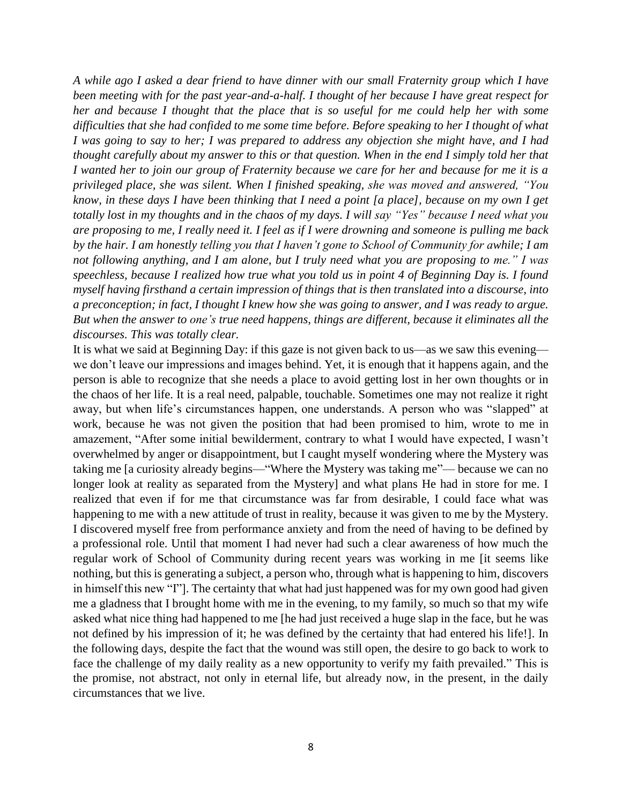*A while ago I asked a dear friend to have dinner with our small Fraternity group which I have been meeting with for the past year-and-a-half. I thought of her because I have great respect for her and because I thought that the place that is so useful for me could help her with some difficulties that she had confided to me some time before. Before speaking to her I thought of what I was going to say to her; I was prepared to address any objection she might have, and I had thought carefully about my answer to this or that question. When in the end I simply told her that I wanted her to join our group of Fraternity because we care for her and because for me it is a privileged place, she was silent. When I finished speaking, she was moved and answered, "You know, in these days I have been thinking that I need a point [a place], because on my own I get totally lost in my thoughts and in the chaos of my days. I will say "Yes" because I need what you are proposing to me, I really need it. I feel as if I were drowning and someone is pulling me back by the hair. I am honestly telling you that I haven't gone to School of Community for awhile; I am not following anything, and I am alone, but I truly need what you are proposing to me." I was speechless, because I realized how true what you told us in point 4 of Beginning Day is. I found myself having firsthand a certain impression of things that is then translated into a discourse, into a preconception; in fact, I thought I knew how she was going to answer, and I was ready to argue. But when the answer to one's true need happens, things are different, because it eliminates all the discourses. This was totally clear.*

It is what we said at Beginning Day: if this gaze is not given back to us—as we saw this evening we don't leave our impressions and images behind. Yet, it is enough that it happens again, and the person is able to recognize that she needs a place to avoid getting lost in her own thoughts or in the chaos of her life. It is a real need, palpable, touchable. Sometimes one may not realize it right away, but when life's circumstances happen, one understands. A person who was "slapped" at work, because he was not given the position that had been promised to him, wrote to me in amazement, "After some initial bewilderment, contrary to what I would have expected, I wasn't overwhelmed by anger or disappointment, but I caught myself wondering where the Mystery was taking me [a curiosity already begins—"Where the Mystery was taking me"— because we can no longer look at reality as separated from the Mystery] and what plans He had in store for me. I realized that even if for me that circumstance was far from desirable, I could face what was happening to me with a new attitude of trust in reality, because it was given to me by the Mystery. I discovered myself free from performance anxiety and from the need of having to be defined by a professional role. Until that moment I had never had such a clear awareness of how much the regular work of School of Community during recent years was working in me [it seems like nothing, but this is generating a subject, a person who, through what is happening to him, discovers in himself this new "I"]. The certainty that what had just happened was for my own good had given me a gladness that I brought home with me in the evening, to my family, so much so that my wife asked what nice thing had happened to me [he had just received a huge slap in the face, but he was not defined by his impression of it; he was defined by the certainty that had entered his life!]. In the following days, despite the fact that the wound was still open, the desire to go back to work to face the challenge of my daily reality as a new opportunity to verify my faith prevailed." This is the promise, not abstract, not only in eternal life, but already now, in the present, in the daily circumstances that we live.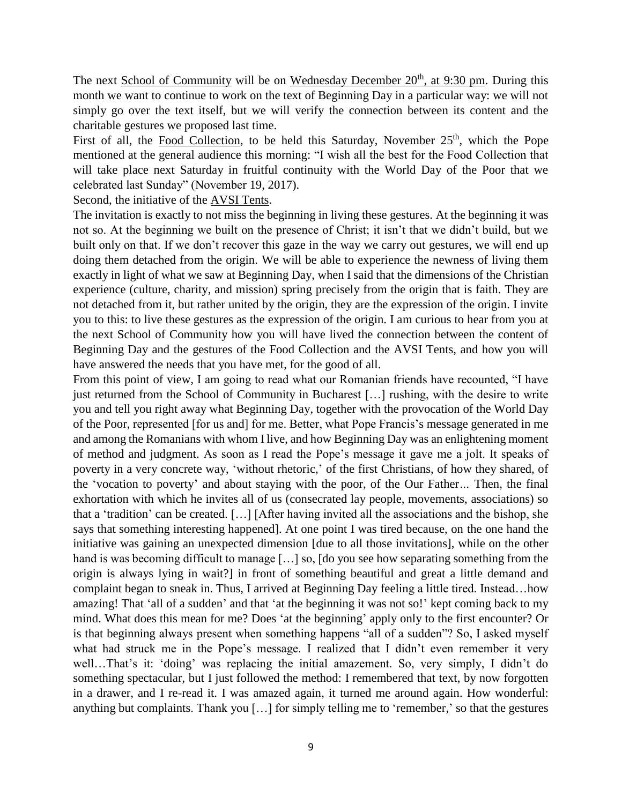The next School of Community will be on Wednesday December 20<sup>th</sup>, at 9:30 pm. During this month we want to continue to work on the text of Beginning Day in a particular way: we will not simply go over the text itself, but we will verify the connection between its content and the charitable gestures we proposed last time.

First of all, the Food Collection, to be held this Saturday, November 25<sup>th</sup>, which the Pope mentioned at the general audience this morning: "I wish all the best for the Food Collection that will take place next Saturday in fruitful continuity with the World Day of the Poor that we celebrated last Sunday" (November 19, 2017).

# Second, the initiative of the AVSI Tents.

The invitation is exactly to not miss the beginning in living these gestures. At the beginning it was not so. At the beginning we built on the presence of Christ; it isn't that we didn't build, but we built only on that. If we don't recover this gaze in the way we carry out gestures, we will end up doing them detached from the origin. We will be able to experience the newness of living them exactly in light of what we saw at Beginning Day, when I said that the dimensions of the Christian experience (culture, charity, and mission) spring precisely from the origin that is faith. They are not detached from it, but rather united by the origin, they are the expression of the origin. I invite you to this: to live these gestures as the expression of the origin. I am curious to hear from you at the next School of Community how you will have lived the connection between the content of Beginning Day and the gestures of the Food Collection and the AVSI Tents, and how you will have answered the needs that you have met, for the good of all.

From this point of view, I am going to read what our Romanian friends have recounted, "I have just returned from the School of Community in Bucharest […] rushing, with the desire to write you and tell you right away what Beginning Day, together with the provocation of the World Day of the Poor, represented [for us and] for me. Better, what Pope Francis's message generated in me and among the Romanians with whom I live, and how Beginning Day was an enlightening moment of method and judgment. As soon as I read the Pope's message it gave me a jolt. It speaks of poverty in a very concrete way, 'without rhetoric,' of the first Christians, of how they shared, of the 'vocation to poverty' and about staying with the poor, of the Our Father*…* Then, the final exhortation with which he invites all of us (consecrated lay people, movements, associations) so that a 'tradition' can be created. […] [After having invited all the associations and the bishop, she says that something interesting happened]. At one point I was tired because, on the one hand the initiative was gaining an unexpected dimension [due to all those invitations], while on the other hand is was becoming difficult to manage [...] so, [do you see how separating something from the origin is always lying in wait?] in front of something beautiful and great a little demand and complaint began to sneak in. Thus, I arrived at Beginning Day feeling a little tired. Instead…how amazing! That 'all of a sudden' and that 'at the beginning it was not so!' kept coming back to my mind. What does this mean for me? Does 'at the beginning' apply only to the first encounter? Or is that beginning always present when something happens "all of a sudden"? So, I asked myself what had struck me in the Pope's message. I realized that I didn't even remember it very well…That's it: 'doing' was replacing the initial amazement. So, very simply, I didn't do something spectacular, but I just followed the method: I remembered that text, by now forgotten in a drawer, and I re-read it. I was amazed again, it turned me around again. How wonderful: anything but complaints. Thank you […] for simply telling me to 'remember,' so that the gestures